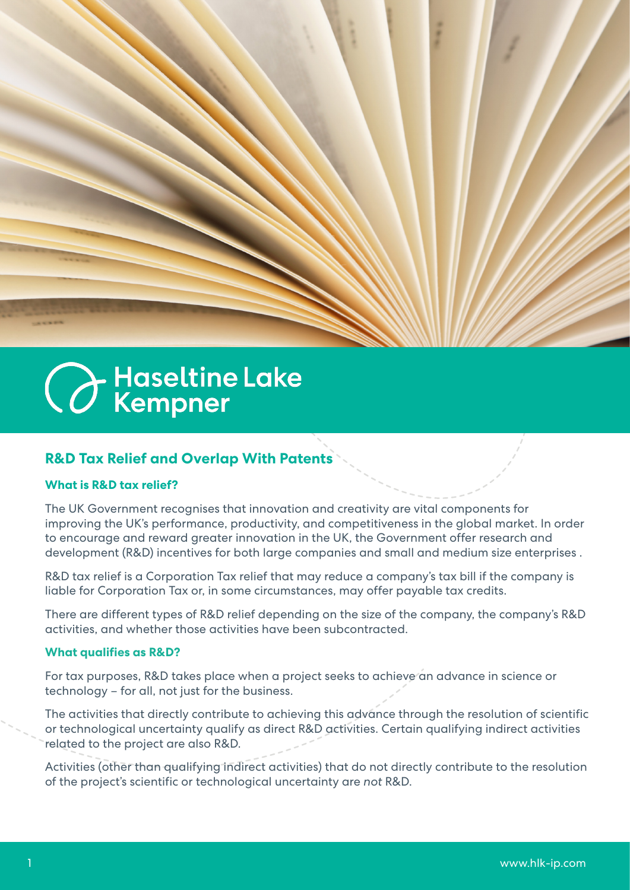# **C** Haseltine Lake

## **R&D Tax Relief and Overlap With Patents**

## **What is R&D tax relief?**

The UK Government recognises that innovation and creativity are vital components for improving the UK's performance, productivity, and competitiveness in the global market. In order to encourage and reward greater innovation in the UK, the Government offer research and development (R&D) incentives for both large companies and small and medium size enterprises .

R&D tax relief is a Corporation Tax relief that may reduce a company's tax bill if the company is liable for Corporation Tax or, in some circumstances, may offer payable tax credits.

There are different types of R&D relief depending on the size of the company, the company's R&D activities, and whether those activities have been subcontracted.

#### **What qualifies as R&D?**

For tax purposes, R&D takes place when a project seeks to achieve an advance in science or technology – for all, not just for the business.

The activities that directly contribute to achieving this advance through the resolution of scientific or technological uncertainty qualify as direct R&D activities. Certain qualifying indirect activities related to the project are also R&D.

Activities (other than qualifying indirect activities) that do not directly contribute to the resolution of the project's scientific or technological uncertainty are *not* R&D.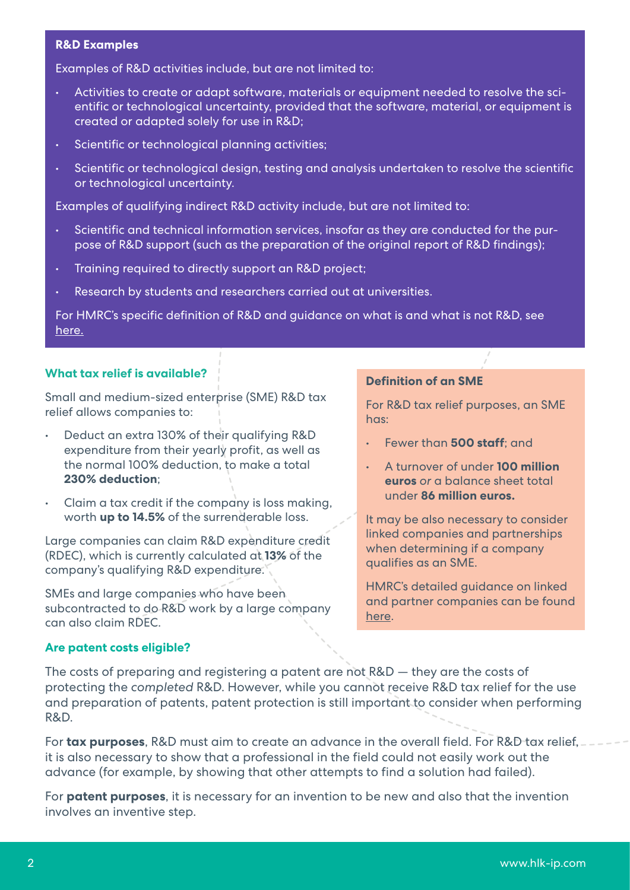#### **R&D Examples**

Examples of R&D activities include, but are not limited to:

- Activities to create or adapt software, materials or equipment needed to resolve the scientific or technological uncertainty, provided that the software, material, or equipment is created or adapted solely for use in R&D;
- Scientific or technological planning activities;
- Scientific or technological design, testing and analysis undertaken to resolve the scientific or technological uncertainty.

Examples of qualifying indirect R&D activity include, but are not limited to:

- Scientific and technical information services, insofar as they are conducted for the purpose of R&D support (such as the preparation of the original report of R&D findings);
- Training required to directly support an R&D project;
- Research by students and researchers carried out at universities.

For HMRC's specific definition of R&D and guidance on what is and what is not R&D, see [here.](https://www.gov.uk/hmrc-internal-manuals/corporate-intangibles-research-and-development-manual/cird81900)

### **What tax relief is available?**

Small and medium-sized enterprise (SME) R&D tax relief allows companies to:

- Deduct an extra 130% of their qualifying R&D expenditure from their yearly profit, as well as the normal 100% deduction, to make a total **230% deduction**;
- Claim a tax credit if the company is loss making, worth **up to 14.5%** of the surrenderable loss.

Large companies can claim R&D expenditure credit (RDEC), which is currently calculated at **13%** of the company's qualifying R&D expenditure.

SMEs and large companies who have been subcontracted to do R&D work by a large company can also claim RDEC.

# **Are patent costs eligible?**

#### **Definition of an SME**

For R&D tax relief purposes, an SME has:

- Fewer than **500 staff**; and
- A turnover of under **100 million euros** *or* a balance sheet total under **86 million euros.**

It may be also necessary to consider linked companies and partnerships when determining if a company qualifies as an SME.

HMRC's detailed guidance on linked and partner companies can be found [here](http://gov.uk/hmrc-internal-manuals/corporate-intangibles-research-and-development-manual/cird91000).

The costs of preparing and registering a patent are not R&D — they are the costs of protecting the *completed* R&D. However, while you cannot receive R&D tax relief for the use and preparation of patents, patent protection is still important to consider when performing R&D.

For **tax purposes**, R&D must aim to create an advance in the overall field. For R&D tax relief, it is also necessary to show that a professional in the field could not easily work out the advance (for example, by showing that other attempts to find a solution had failed).

For **patent purposes**, it is necessary for an invention to be new and also that the invention involves an inventive step.